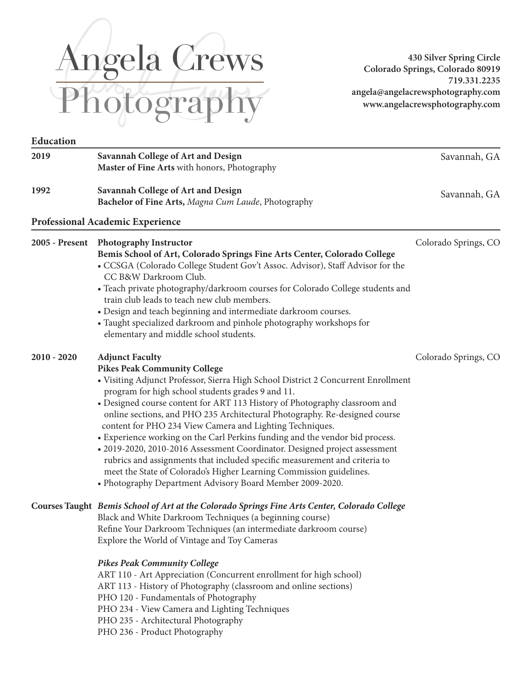# Angela Crews Photography

**430 Silver Spring Circle Colorado Springs, Colorado 80919 719.331.2235 angela@angelacrewsphotography.com www.angelacrewsphotography.com**

| Education      |                                                                                                                                                                                                                                                                                                                                                                                                                                                                                                                                                                                                                                                                                                                                                                                                                 |                      |
|----------------|-----------------------------------------------------------------------------------------------------------------------------------------------------------------------------------------------------------------------------------------------------------------------------------------------------------------------------------------------------------------------------------------------------------------------------------------------------------------------------------------------------------------------------------------------------------------------------------------------------------------------------------------------------------------------------------------------------------------------------------------------------------------------------------------------------------------|----------------------|
| 2019           | Savannah College of Art and Design<br>Master of Fine Arts with honors, Photography                                                                                                                                                                                                                                                                                                                                                                                                                                                                                                                                                                                                                                                                                                                              | Savannah, GA         |
| 1992           | Savannah College of Art and Design<br>Bachelor of Fine Arts, Magna Cum Laude, Photography                                                                                                                                                                                                                                                                                                                                                                                                                                                                                                                                                                                                                                                                                                                       | Savannah, GA         |
|                | <b>Professional Academic Experience</b>                                                                                                                                                                                                                                                                                                                                                                                                                                                                                                                                                                                                                                                                                                                                                                         |                      |
| 2005 - Present | <b>Photography Instructor</b><br>Bemis School of Art, Colorado Springs Fine Arts Center, Colorado College<br>• CCSGA (Colorado College Student Gov't Assoc. Advisor), Staff Advisor for the<br>CC B&W Darkroom Club.<br>• Teach private photography/darkroom courses for Colorado College students and<br>train club leads to teach new club members.<br>• Design and teach beginning and intermediate darkroom courses.<br>• Taught specialized darkroom and pinhole photography workshops for<br>elementary and middle school students.                                                                                                                                                                                                                                                                       | Colorado Springs, CO |
| $2010 - 2020$  | <b>Adjunct Faculty</b><br><b>Pikes Peak Community College</b><br>• Visiting Adjunct Professor, Sierra High School District 2 Concurrent Enrollment<br>program for high school students grades 9 and 11.<br>• Designed course content for ART 113 History of Photography classroom and<br>online sections, and PHO 235 Architectural Photography. Re-designed course<br>content for PHO 234 View Camera and Lighting Techniques.<br>• Experience working on the Carl Perkins funding and the vendor bid process.<br>· 2019-2020, 2010-2016 Assessment Coordinator. Designed project assessment<br>rubrics and assignments that included specific measurement and criteria to<br>meet the State of Colorado's Higher Learning Commission guidelines.<br>• Photography Department Advisory Board Member 2009-2020. | Colorado Springs, CO |
|                | Courses Taught Bemis School of Art at the Colorado Springs Fine Arts Center, Colorado College<br>Black and White Darkroom Techniques (a beginning course)<br>Refine Your Darkroom Techniques (an intermediate darkroom course)<br>Explore the World of Vintage and Toy Cameras<br><b>Pikes Peak Community College</b><br>ART 110 - Art Appreciation (Concurrent enrollment for high school)<br>ART 113 - History of Photography (classroom and online sections)<br>PHO 120 - Fundamentals of Photography<br>PHO 234 - View Camera and Lighting Techniques<br>PHO 235 - Architectural Photography                                                                                                                                                                                                                |                      |

PHO 236 - Product Photography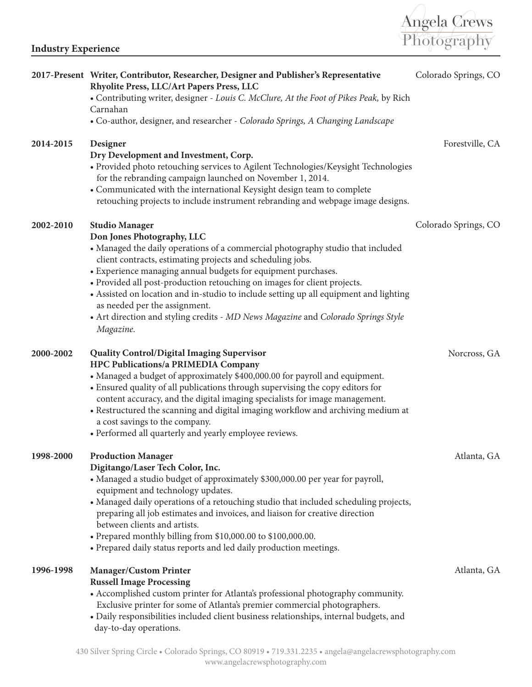

|           | 2017-Present Writer, Contributor, Researcher, Designer and Publisher's Representative<br>Rhyolite Press, LLC/Art Papers Press, LLC                                                                                                                                                                                                                                                                                                                                                                                                                                            | Colorado Springs, CO |
|-----------|-------------------------------------------------------------------------------------------------------------------------------------------------------------------------------------------------------------------------------------------------------------------------------------------------------------------------------------------------------------------------------------------------------------------------------------------------------------------------------------------------------------------------------------------------------------------------------|----------------------|
|           | • Contributing writer, designer - Louis C. McClure, At the Foot of Pikes Peak, by Rich<br>Carnahan                                                                                                                                                                                                                                                                                                                                                                                                                                                                            |                      |
|           | • Co-author, designer, and researcher - Colorado Springs, A Changing Landscape                                                                                                                                                                                                                                                                                                                                                                                                                                                                                                |                      |
| 2014-2015 | Designer<br>Dry Development and Investment, Corp.<br>• Provided photo retouching services to Agilent Technologies/Keysight Technologies<br>for the rebranding campaign launched on November 1, 2014.<br>• Communicated with the international Keysight design team to complete<br>retouching projects to include instrument rebranding and webpage image designs.                                                                                                                                                                                                             | Forestville, CA      |
| 2002-2010 | <b>Studio Manager</b><br>Don Jones Photography, LLC<br>• Managed the daily operations of a commercial photography studio that included<br>client contracts, estimating projects and scheduling jobs.<br>• Experience managing annual budgets for equipment purchases.<br>• Provided all post-production retouching on images for client projects.<br>• Assisted on location and in-studio to include setting up all equipment and lighting<br>as needed per the assignment.<br>• Art direction and styling credits - MD News Magazine and Colorado Springs Style<br>Magazine. | Colorado Springs, CO |
| 2000-2002 | <b>Quality Control/Digital Imaging Supervisor</b><br>HPC Publications/a PRIMEDIA Company<br>• Managed a budget of approximately \$400,000.00 for payroll and equipment.<br>• Ensured quality of all publications through supervising the copy editors for<br>content accuracy, and the digital imaging specialists for image management.<br>• Restructured the scanning and digital imaging workflow and archiving medium at<br>a cost savings to the company.<br>• Performed all quarterly and yearly employee reviews.                                                      | Norcross, GA         |
| 1998-2000 | <b>Production Manager</b><br>Digitango/Laser Tech Color, Inc.<br>• Managed a studio budget of approximately \$300,000.00 per year for payroll,<br>equipment and technology updates.<br>• Managed daily operations of a retouching studio that included scheduling projects,<br>preparing all job estimates and invoices, and liaison for creative direction<br>between clients and artists.<br>• Prepared monthly billing from \$10,000.00 to \$100,000.00.<br>• Prepared daily status reports and led daily production meetings.                                             | Atlanta, GA          |
| 1996-1998 | <b>Manager/Custom Printer</b><br><b>Russell Image Processing</b><br>• Accomplished custom printer for Atlanta's professional photography community.<br>Exclusive printer for some of Atlanta's premier commercial photographers.<br>• Daily responsibilities included client business relationships, internal budgets, and<br>day-to-day operations.                                                                                                                                                                                                                          | Atlanta, GA          |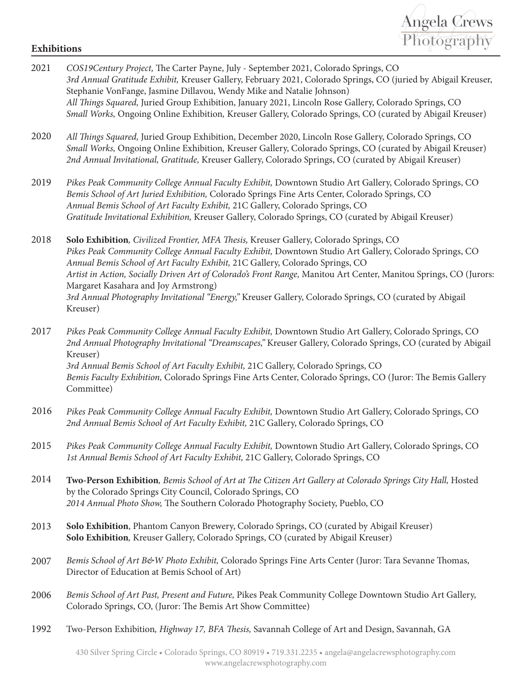## Angela Crews Photography **Exhibitions**

- 2021 *COS19Century Project,* The Carter Payne, July September 2021, Colorado Springs, CO *3rd Annual Gratitude Exhibit,* Kreuser Gallery, February 2021, Colorado Springs, CO (juried by Abigail Kreuser, Stephanie VonFange, Jasmine Dillavou, Wendy Mike and Natalie Johnson) *All Things Squared,* Juried Group Exhibition, January 2021, Lincoln Rose Gallery, Colorado Springs, CO *Small Works,* Ongoing Online Exhibition*,* Kreuser Gallery, Colorado Springs, CO (curated by Abigail Kreuser) *All Things Squared,* Juried Group Exhibition, December 2020, Lincoln Rose Gallery, Colorado Springs, CO *Small Works,* Ongoing Online Exhibition*,* Kreuser Gallery, Colorado Springs, CO (curated by Abigail Kreuser) *2nd Annual Invitational, Gratitude,* Kreuser Gallery, Colorado Springs, CO (curated by Abigail Kreuser) *Pikes Peak Community College Annual Faculty Exhibit,* Downtown Studio Art Gallery, Colorado Springs, CO *Bemis School of Art Juried Exhibition,* Colorado Springs Fine Arts Center, Colorado Springs, CO *Annual Bemis School of Art Faculty Exhibit,* 21C Gallery, Colorado Springs, CO *Gratitude Invitational Exhibition,* Kreuser Gallery, Colorado Springs, CO (curated by Abigail Kreuser) **Solo Exhibition***, Civilized Frontier, MFA Thesis,* Kreuser Gallery, Colorado Springs, CO *Pikes Peak Community College Annual Faculty Exhibit,* Downtown Studio Art Gallery, Colorado Springs, CO *Annual Bemis School of Art Faculty Exhibit,* 21C Gallery, Colorado Springs, CO *Artist in Action, Socially Driven Art of Colorado's Front Range,* Manitou Art Center, Manitou Springs, CO (Jurors: Margaret Kasahara and Joy Armstrong) *3rd Annual Photography Invitational "Energy,"* Kreuser Gallery, Colorado Springs, CO (curated by Abigail Kreuser) *Pikes Peak Community College Annual Faculty Exhibit,* Downtown Studio Art Gallery, Colorado Springs, CO *2nd Annual Photography Invitational "Dreamscapes,"* Kreuser Gallery, Colorado Springs, CO (curated by Abigail Kreuser) *3rd Annual Bemis School of Art Faculty Exhibit,* 21C Gallery, Colorado Springs, CO *Bemis Faculty Exhibition,* Colorado Springs Fine Arts Center, Colorado Springs, CO (Juror: The Bemis Gallery Committee) *Pikes Peak Community College Annual Faculty Exhibit,* Downtown Studio Art Gallery, Colorado Springs, CO *2nd Annual Bemis School of Art Faculty Exhibit,* 21C Gallery, Colorado Springs, CO *Pikes Peak Community College Annual Faculty Exhibit,* Downtown Studio Art Gallery, Colorado Springs, CO *1st Annual Bemis School of Art Faculty Exhibit,* 21C Gallery, Colorado Springs, CO **Two-Person Exhibition***, Bemis School of Art at The Citizen Art Gallery at Colorado Springs City Hall,* Hosted by the Colorado Springs City Council, Colorado Springs, CO *2014 Annual Photo Show,* The Southern Colorado Photography Society, Pueblo, CO **Solo Exhibition**, Phantom Canyon Brewery, Colorado Springs, CO (curated by Abigail Kreuser) **Solo Exhibition***,* Kreuser Gallery, Colorado Springs, CO (curated by Abigail Kreuser) *Bemis School of Art B&W Photo Exhibit,* Colorado Springs Fine Arts Center (Juror: Tara Sevanne Thomas, Director of Education at Bemis School of Art) 2018 2017 2016 2015 2014 2013 2007 2019 2020
- *Bemis School of Art Past, Present and Future,* Pikes Peak Community College Downtown Studio Art Gallery, Colorado Springs, CO, (Juror: The Bemis Art Show Committee) 2006
- Two-Person Exhibition*, Highway 17, BFA Thesis,* Savannah College of Art and Design, Savannah, GA 1992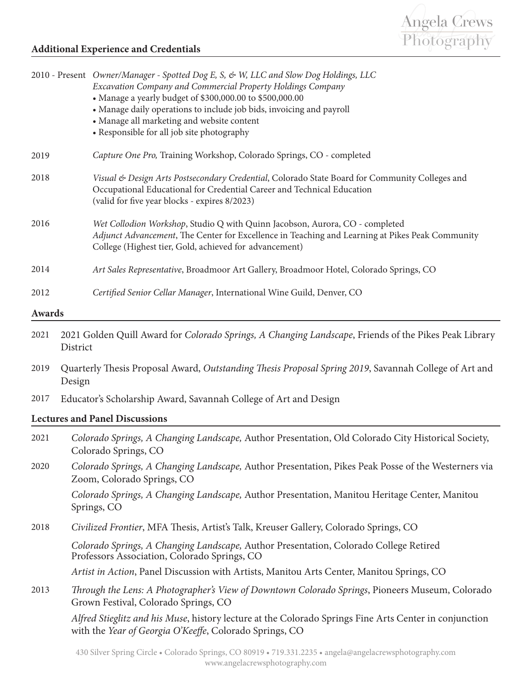

### **Additional Experience and Credentials**

|        |        | 2010 - Present Owner/Manager - Spotted Dog E, S, & W, LLC and Slow Dog Holdings, LLC<br>Excavation Company and Commercial Property Holdings Company<br>• Manage a yearly budget of \$300,000.00 to \$500,000.00<br>• Manage daily operations to include job bids, invoicing and payroll<br>• Manage all marketing and website content<br>• Responsible for all job site photography |  |
|--------|--------|-------------------------------------------------------------------------------------------------------------------------------------------------------------------------------------------------------------------------------------------------------------------------------------------------------------------------------------------------------------------------------------|--|
| 2019   |        | Capture One Pro, Training Workshop, Colorado Springs, CO - completed                                                                                                                                                                                                                                                                                                                |  |
| 2018   |        | Visual & Design Arts Postsecondary Credential, Colorado State Board for Community Colleges and<br>Occupational Educational for Credential Career and Technical Education<br>(valid for five year blocks - expires 8/2023)                                                                                                                                                           |  |
| 2016   |        | Wet Collodion Workshop, Studio Q with Quinn Jacobson, Aurora, CO - completed<br>Adjunct Advancement, The Center for Excellence in Teaching and Learning at Pikes Peak Community<br>College (Highest tier, Gold, achieved for advancement)                                                                                                                                           |  |
| 2014   |        | Art Sales Representative, Broadmoor Art Gallery, Broadmoor Hotel, Colorado Springs, CO                                                                                                                                                                                                                                                                                              |  |
| 2012   |        | Certified Senior Cellar Manager, International Wine Guild, Denver, CO                                                                                                                                                                                                                                                                                                               |  |
| Awards |        |                                                                                                                                                                                                                                                                                                                                                                                     |  |
| 2021   |        | 2021 Golden Quill Award for Colorado Springs, A Changing Landscape, Friends of the Pikes Peak Library<br>District                                                                                                                                                                                                                                                                   |  |
| 2019   | Design | Quarterly Thesis Proposal Award, Outstanding Thesis Proposal Spring 2019, Savannah College of Art and                                                                                                                                                                                                                                                                               |  |
| 2017   |        | Educator's Scholarship Award, Savannah College of Art and Design                                                                                                                                                                                                                                                                                                                    |  |
|        |        | <b>Lectures and Panel Discussions</b>                                                                                                                                                                                                                                                                                                                                               |  |
| 2021   |        | Colorado Springs, A Changing Landscape, Author Presentation, Old Colorado City Historical Society,<br>Colorado Springs, CO                                                                                                                                                                                                                                                          |  |
| 2020   |        | Colorado Springs, A Changing Landscape, Author Presentation, Pikes Peak Posse of the Westerners via<br>Zoom, Colorado Springs, CO                                                                                                                                                                                                                                                   |  |
|        |        | Colorado Springs, A Changing Landscape, Author Presentation, Manitou Heritage Center, Manitou<br>Springs, CO                                                                                                                                                                                                                                                                        |  |
| 2018   |        | Civilized Frontier, MFA Thesis, Artist's Talk, Kreuser Gallery, Colorado Springs, CO                                                                                                                                                                                                                                                                                                |  |
|        |        | Colorado Springs, A Changing Landscape, Author Presentation, Colorado College Retired<br>Professors Association, Colorado Springs, CO                                                                                                                                                                                                                                               |  |
|        |        | Artist in Action, Panel Discussion with Artists, Manitou Arts Center, Manitou Springs, CO                                                                                                                                                                                                                                                                                           |  |
| 2013   |        | Through the Lens: A Photographer's View of Downtown Colorado Springs, Pioneers Museum, Colorado<br>Grown Festival, Colorado Springs, CO                                                                                                                                                                                                                                             |  |
|        |        | Alfred Stieglitz and his Muse, history lecture at the Colorado Springs Fine Arts Center in conjunction<br>with the Year of Georgia O'Keeffe, Colorado Springs, CO                                                                                                                                                                                                                   |  |